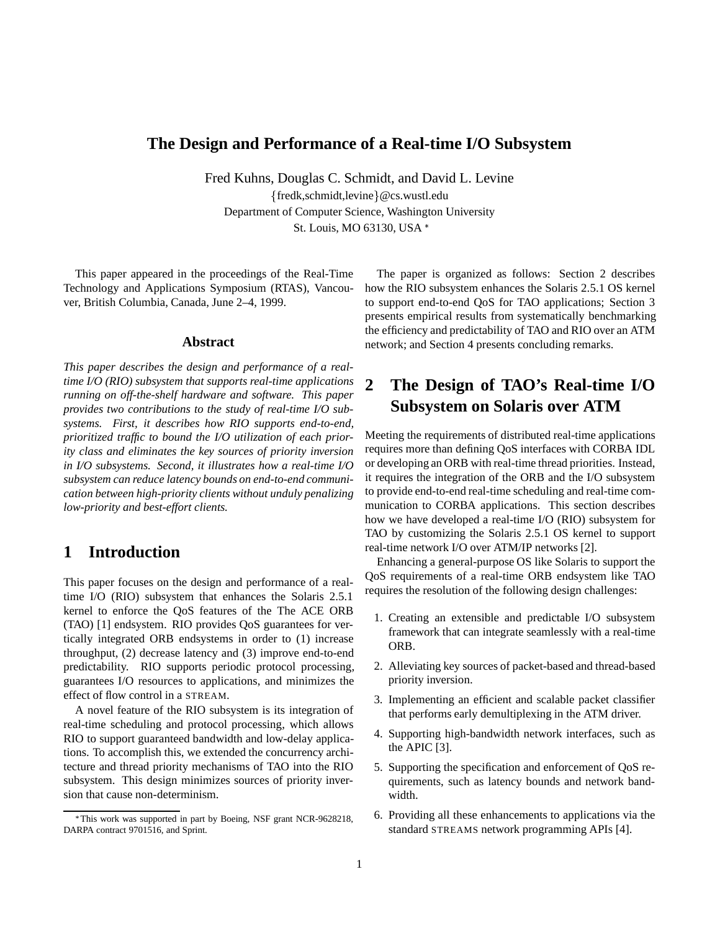# **The Design and Performance of a Real-time I/O Subsystem**

Fred Kuhns, Douglas C. Schmidt, and David L. Levine  ${fredk, schmidt, levine} @cs.wust.$ edu Department of Computer Science, Washington University St. Louis, MO 63130, USA

This paper appeared in the proceedings of the Real-Time Technology and Applications Symposium (RTAS), Vancouver, British Columbia, Canada, June 2–4, 1999.

### **Abstract**

*This paper describes the design and performance of a realtime I/O (RIO) subsystem that supports real-time applications running on off-the-shelf hardware and software. This paper provides two contributions to the study of real-time I/O subsystems. First, it describes how RIO supports end-to-end, prioritized traffic to bound the I/O utilization of each priority class and eliminates the key sources of priority inversion in I/O subsystems. Second, it illustrates how a real-time I/O subsystem can reduce latency bounds on end-to-end communication between high-priority clients without unduly penalizing low-priority and best-effort clients.*

## **1 Introduction**

This paper focuses on the design and performance of a realtime I/O (RIO) subsystem that enhances the Solaris 2.5.1 kernel to enforce the QoS features of the The ACE ORB (TAO) [1] endsystem. RIO provides QoS guarantees for vertically integrated ORB endsystems in order to (1) increase throughput, (2) decrease latency and (3) improve end-to-end predictability. RIO supports periodic protocol processing, guarantees I/O resources to applications, and minimizes the effect of flow control in a STREAM.

A novel feature of the RIO subsystem is its integration of real-time scheduling and protocol processing, which allows RIO to support guaranteed bandwidth and low-delay applications. To accomplish this, we extended the concurrency architecture and thread priority mechanisms of TAO into the RIO subsystem. This design minimizes sources of priority inversion that cause non-determinism.

The paper is organized as follows: Section 2 describes how the RIO subsystem enhances the Solaris 2.5.1 OS kernel to support end-to-end QoS for TAO applications; Section 3 presents empirical results from systematically benchmarking the efficiency and predictability of TAO and RIO over an ATM network; and Section 4 presents concluding remarks.

# **2 The Design of TAO's Real-time I/O Subsystem on Solaris over ATM**

Meeting the requirements of distributed real-time applications requires more than defining QoS interfaces with CORBA IDL or developing an ORB with real-time thread priorities. Instead, it requires the integration of the ORB and the I/O subsystem to provide end-to-end real-time scheduling and real-time communication to CORBA applications. This section describes how we have developed a real-time I/O (RIO) subsystem for TAO by customizing the Solaris 2.5.1 OS kernel to support real-time network I/O over ATM/IP networks [2].

Enhancing a general-purpose OS like Solaris to support the QoS requirements of a real-time ORB endsystem like TAO requires the resolution of the following design challenges:

- 1. Creating an extensible and predictable I/O subsystem framework that can integrate seamlessly with a real-time ORB.
- 2. Alleviating key sources of packet-based and thread-based priority inversion.
- 3. Implementing an efficient and scalable packet classifier that performs early demultiplexing in the ATM driver.
- 4. Supporting high-bandwidth network interfaces, such as the APIC [3].
- 5. Supporting the specification and enforcement of QoS requirements, such as latency bounds and network bandwidth.
- 6. Providing all these enhancements to applications via the standard STREAMS network programming APIs [4].

This work was supported in part by Boeing, NSF grant NCR-9628218, DARPA contract 9701516, and Sprint.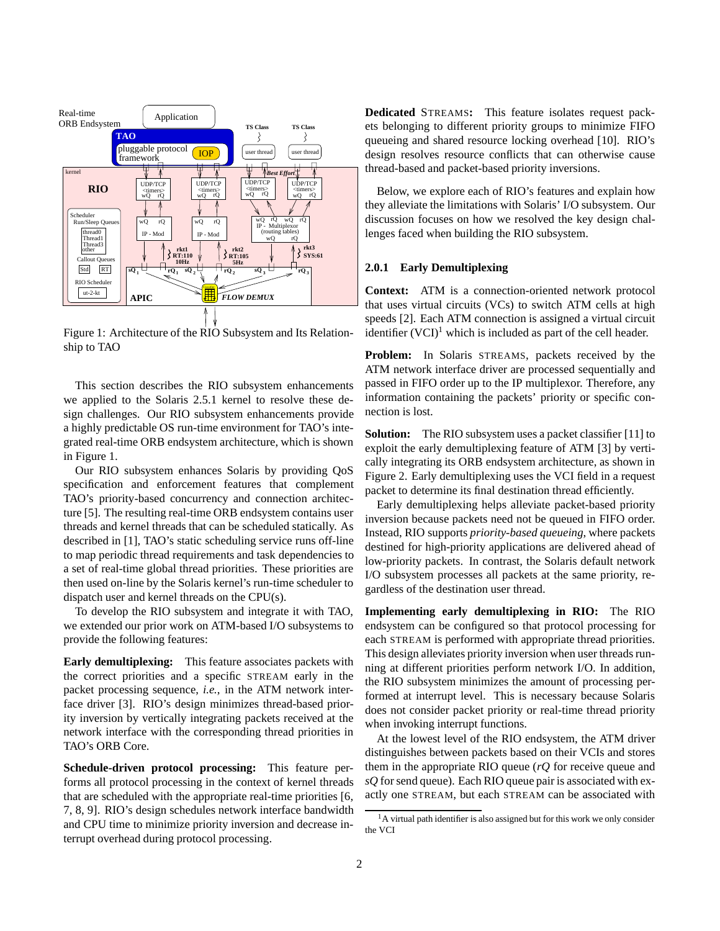

Figure 1: Architecture of the RIO Subsystem and Its Relationship to TAO

This section describes the RIO subsystem enhancements we applied to the Solaris 2.5.1 kernel to resolve these design challenges. Our RIO subsystem enhancements provide a highly predictable OS run-time environment for TAO's integrated real-time ORB endsystem architecture, which is shown in Figure 1.

Our RIO subsystem enhances Solaris by providing QoS specification and enforcement features that complement TAO's priority-based concurrency and connection architecture [5]. The resulting real-time ORB endsystem contains user threads and kernel threads that can be scheduled statically. As described in [1], TAO's static scheduling service runs off-line to map periodic thread requirements and task dependencies to a set of real-time global thread priorities. These priorities are then used on-line by the Solaris kernel's run-time scheduler to dispatch user and kernel threads on the CPU(s).

To develop the RIO subsystem and integrate it with TAO, we extended our prior work on ATM-based I/O subsystems to provide the following features:

**Early demultiplexing:** This feature associates packets with the correct priorities and a specific STREAM early in the packet processing sequence, *i.e.*, in the ATM network interface driver [3]. RIO's design minimizes thread-based priority inversion by vertically integrating packets received at the network interface with the corresponding thread priorities in TAO's ORB Core.

**Schedule-driven protocol processing:** This feature performs all protocol processing in the context of kernel threads that are scheduled with the appropriate real-time priorities [6, 7, 8, 9]. RIO's design schedules network interface bandwidth and CPU time to minimize priority inversion and decrease interrupt overhead during protocol processing.

**Dedicated** STREAMS**:** This feature isolates request packets belonging to different priority groups to minimize FIFO queueing and shared resource locking overhead [10]. RIO's design resolves resource conflicts that can otherwise cause thread-based and packet-based priority inversions.

Below, we explore each of RIO's features and explain how they alleviate the limitations with Solaris' I/O subsystem. Our discussion focuses on how we resolved the key design challenges faced when building the RIO subsystem.

#### **2.0.1 Early Demultiplexing**

**Context:** ATM is a connection-oriented network protocol that uses virtual circuits (VCs) to switch ATM cells at high speeds [2]. Each ATM connection is assigned a virtual circuit identifier  $(VCI)^1$  which is included as part of the cell header.

**Problem:** In Solaris STREAMS, packets received by the ATM network interface driver are processed sequentially and passed in FIFO order up to the IP multiplexor. Therefore, any information containing the packets' priority or specific connection is lost.

**Solution:** The RIO subsystem uses a packet classifier [11] to exploit the early demultiplexing feature of ATM [3] by vertically integrating its ORB endsystem architecture, as shown in Figure 2. Early demultiplexing uses the VCI field in a request packet to determine its final destination thread efficiently.

Early demultiplexing helps alleviate packet-based priority inversion because packets need not be queued in FIFO order. Instead, RIO supports *priority-based queueing*, where packets destined for high-priority applications are delivered ahead of low-priority packets. In contrast, the Solaris default network I/O subsystem processes all packets at the same priority, regardless of the destination user thread.

**Implementing early demultiplexing in RIO:** The RIO endsystem can be configured so that protocol processing for each STREAM is performed with appropriate thread priorities. This design alleviates priority inversion when user threads running at different priorities perform network I/O. In addition, the RIO subsystem minimizes the amount of processing performed at interrupt level. This is necessary because Solaris does not consider packet priority or real-time thread priority when invoking interrupt functions.

At the lowest level of the RIO endsystem, the ATM driver distinguishes between packets based on their VCIs and stores them in the appropriate RIO queue (*rQ* for receive queue and *sQ* for send queue). Each RIO queue pair is associated with exactly one STREAM, but each STREAM can be associated with

<sup>&</sup>lt;sup>1</sup>A virtual path identifier is also assigned but for this work we only consider the VCI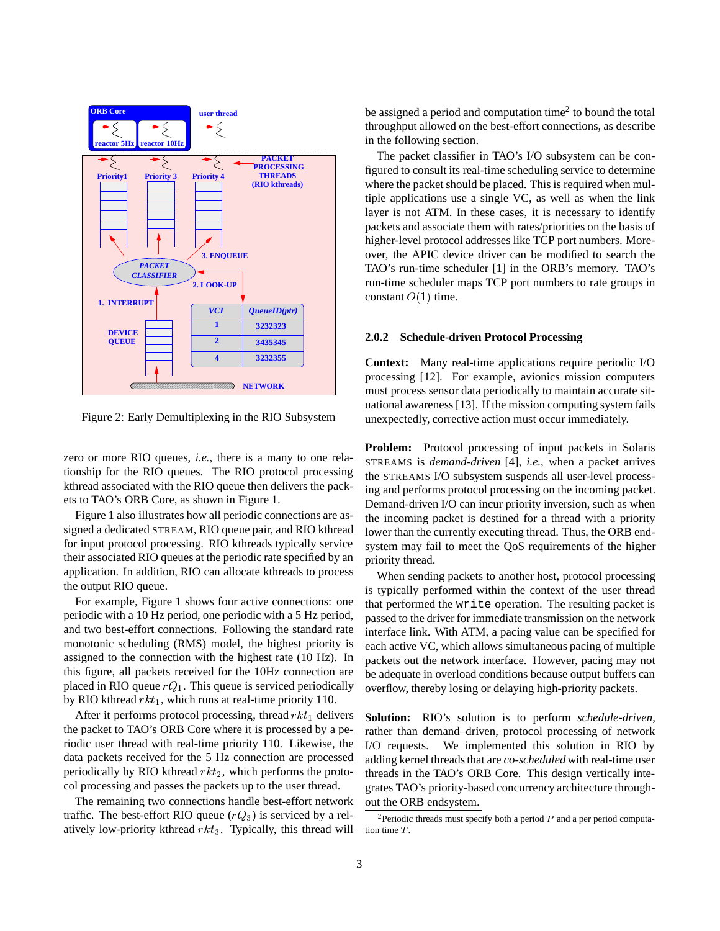

Figure 2: Early Demultiplexing in the RIO Subsystem

zero or more RIO queues, *i.e.*, there is a many to one relationship for the RIO queues. The RIO protocol processing kthread associated with the RIO queue then delivers the packets to TAO's ORB Core, as shown in Figure 1.

Figure 1 also illustrates how all periodic connections are assigned a dedicated STREAM, RIO queue pair, and RIO kthread for input protocol processing. RIO kthreads typically service their associated RIO queues at the periodic rate specified by an application. In addition, RIO can allocate kthreads to process the output RIO queue.

For example, Figure 1 shows four active connections: one periodic with a 10 Hz period, one periodic with a 5 Hz period, and two best-effort connections. Following the standard rate monotonic scheduling (RMS) model, the highest priority is assigned to the connection with the highest rate (10 Hz). In this figure, all packets received for the 10Hz connection are placed in RIO queue  $rQ_1$ . This queue is serviced periodically by RIO kthread  $rkt_1$ , which runs at real-time priority 110.

After it performs protocol processing, thread  $rkt_1$  delivers the packet to TAO's ORB Core where it is processed by a periodic user thread with real-time priority 110. Likewise, the data packets received for the 5 Hz connection are processed periodically by RIO kthread  $rkt_2$ , which performs the protocol processing and passes the packets up to the user thread.

The remaining two connections handle best-effort network traffic. The best-effort RIO queue  $(rQ_3)$  is serviced by a relatively low-priority kthread  $rkt_3$ . Typically, this thread will be assigned a period and computation time<sup>2</sup> to bound the total throughput allowed on the best-effort connections, as describe in the following section.

The packet classifier in TAO's I/O subsystem can be configured to consult its real-time scheduling service to determine where the packet should be placed. This is required when multiple applications use a single VC, as well as when the link layer is not ATM. In these cases, it is necessary to identify packets and associate them with rates/priorities on the basis of higher-level protocol addresses like TCP port numbers. Moreover, the APIC device driver can be modified to search the TAO's run-time scheduler [1] in the ORB's memory. TAO's run-time scheduler maps TCP port numbers to rate groups in constant  $O(1)$  time.

#### **2.0.2 Schedule-driven Protocol Processing**

**Context:** Many real-time applications require periodic I/O processing [12]. For example, avionics mission computers must process sensor data periodically to maintain accurate situational awareness [13]. If the mission computing system fails unexpectedly, corrective action must occur immediately.

**Problem:** Protocol processing of input packets in Solaris STREAMS is *demand-driven* [4], *i.e.*, when a packet arrives the STREAMS I/O subsystem suspends all user-level processing and performs protocol processing on the incoming packet. Demand-driven I/O can incur priority inversion, such as when the incoming packet is destined for a thread with a priority lower than the currently executing thread. Thus, the ORB endsystem may fail to meet the QoS requirements of the higher priority thread.

When sending packets to another host, protocol processing is typically performed within the context of the user thread that performed the write operation. The resulting packet is passed to the driver for immediate transmission on the network interface link. With ATM, a pacing value can be specified for each active VC, which allows simultaneous pacing of multiple packets out the network interface. However, pacing may not be adequate in overload conditions because output buffers can overflow, thereby losing or delaying high-priority packets.

**Solution:** RIO's solution is to perform *schedule-driven*, rather than demand–driven, protocol processing of network I/O requests. We implemented this solution in RIO by adding kernel threads that are *co-scheduled* with real-time user threads in the TAO's ORB Core. This design vertically integrates TAO's priority-based concurrency architecture throughout the ORB endsystem.

<sup>&</sup>lt;sup>2</sup>Periodic threads must specify both a period  $P$  and a per period computation time T.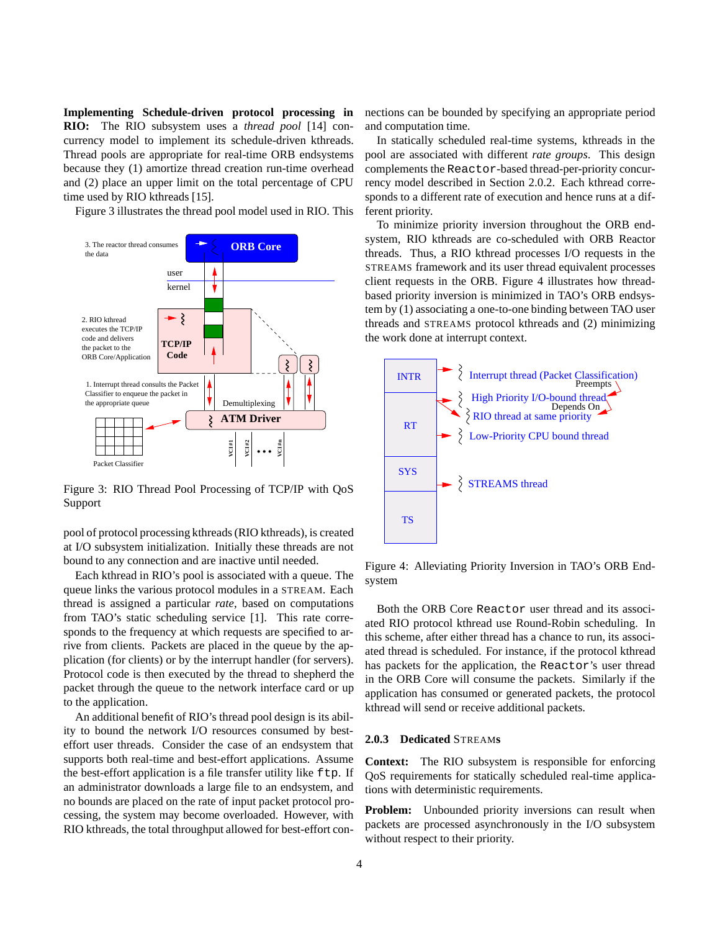**Implementing Schedule-driven protocol processing in RIO:** The RIO subsystem uses a *thread pool* [14] concurrency model to implement its schedule-driven kthreads. Thread pools are appropriate for real-time ORB endsystems because they (1) amortize thread creation run-time overhead and (2) place an upper limit on the total percentage of CPU time used by RIO kthreads [15].

Figure 3 illustrates the thread pool model used in RIO. This



Figure 3: RIO Thread Pool Processing of TCP/IP with QoS Support

pool of protocol processing kthreads (RIO kthreads), is created at I/O subsystem initialization. Initially these threads are not bound to any connection and are inactive until needed.

Each kthread in RIO's pool is associated with a queue. The queue links the various protocol modules in a STREAM. Each thread is assigned a particular *rate*, based on computations from TAO's static scheduling service [1]. This rate corresponds to the frequency at which requests are specified to arrive from clients. Packets are placed in the queue by the application (for clients) or by the interrupt handler (for servers). Protocol code is then executed by the thread to shepherd the packet through the queue to the network interface card or up to the application.

An additional benefit of RIO's thread pool design is its ability to bound the network I/O resources consumed by besteffort user threads. Consider the case of an endsystem that supports both real-time and best-effort applications. Assume the best-effort application is a file transfer utility like ftp. If an administrator downloads a large file to an endsystem, and no bounds are placed on the rate of input packet protocol processing, the system may become overloaded. However, with RIO kthreads, the total throughput allowed for best-effort connections can be bounded by specifying an appropriate period and computation time.

In statically scheduled real-time systems, kthreads in the pool are associated with different *rate groups*. This design complements the Reactor-based thread-per-priority concurrency model described in Section 2.0.2. Each kthread corresponds to a different rate of execution and hence runs at a different priority.

To minimize priority inversion throughout the ORB endsystem, RIO kthreads are co-scheduled with ORB Reactor threads. Thus, a RIO kthread processes I/O requests in the STREAMS framework and its user thread equivalent processes client requests in the ORB. Figure 4 illustrates how threadbased priority inversion is minimized in TAO's ORB endsystem by (1) associating a one-to-one binding between TAO user threads and STREAMS protocol kthreads and (2) minimizing the work done at interrupt context.



Figure 4: Alleviating Priority Inversion in TAO's ORB Endsystem

Both the ORB Core Reactor user thread and its associated RIO protocol kthread use Round-Robin scheduling. In this scheme, after either thread has a chance to run, its associated thread is scheduled. For instance, if the protocol kthread has packets for the application, the Reactor's user thread in the ORB Core will consume the packets. Similarly if the application has consumed or generated packets, the protocol kthread will send or receive additional packets.

### **2.0.3 Dedicated** STREAM**s**

**Context:** The RIO subsystem is responsible for enforcing QoS requirements for statically scheduled real-time applications with deterministic requirements.

**Problem:** Unbounded priority inversions can result when packets are processed asynchronously in the I/O subsystem without respect to their priority.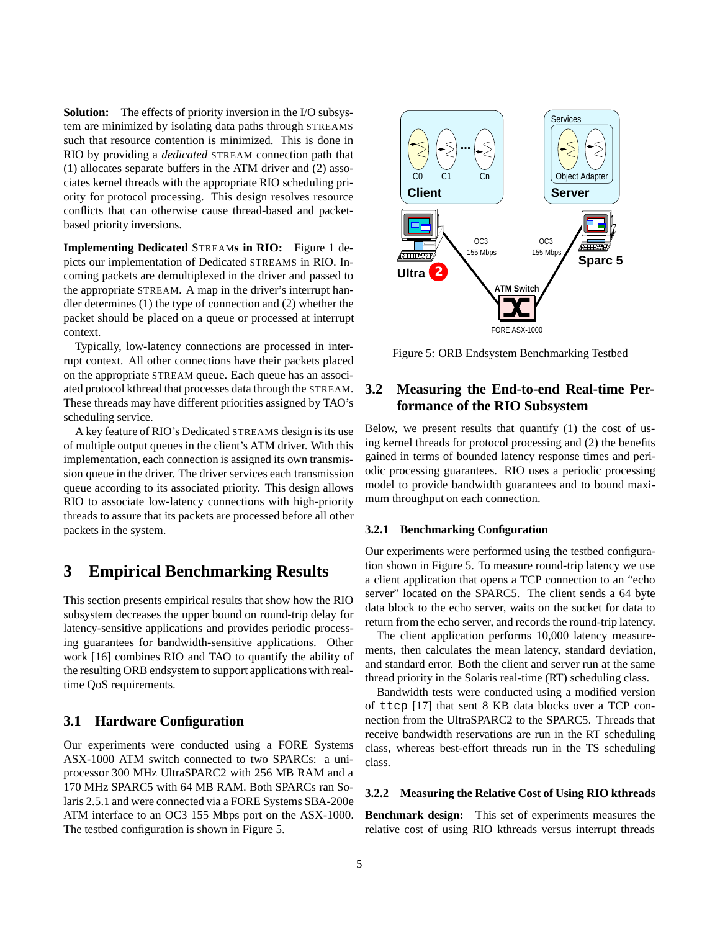**Solution:** The effects of priority inversion in the I/O subsystem are minimized by isolating data paths through STREAMS such that resource contention is minimized. This is done in RIO by providing a *dedicated* STREAM connection path that (1) allocates separate buffers in the ATM driver and (2) associates kernel threads with the appropriate RIO scheduling priority for protocol processing. This design resolves resource conflicts that can otherwise cause thread-based and packetbased priority inversions.

**Implementing Dedicated** STREAM**s in RIO:** Figure 1 depicts our implementation of Dedicated STREAMS in RIO. Incoming packets are demultiplexed in the driver and passed to the appropriate STREAM. A map in the driver's interrupt handler determines (1) the type of connection and (2) whether the packet should be placed on a queue or processed at interrupt context.

Typically, low-latency connections are processed in interrupt context. All other connections have their packets placed on the appropriate STREAM queue. Each queue has an associated protocol kthread that processes data through the STREAM. These threads may have different priorities assigned by TAO's scheduling service.

A key feature of RIO's Dedicated STREAMS design is its use of multiple output queues in the client's ATM driver. With this implementation, each connection is assigned its own transmission queue in the driver. The driver services each transmission queue according to its associated priority. This design allows RIO to associate low-latency connections with high-priority threads to assure that its packets are processed before all other packets in the system.

# **3 Empirical Benchmarking Results**

This section presents empirical results that show how the RIO subsystem decreases the upper bound on round-trip delay for latency-sensitive applications and provides periodic processing guarantees for bandwidth-sensitive applications. Other work [16] combines RIO and TAO to quantify the ability of the resulting ORB endsystem to support applications with realtime QoS requirements.

### **3.1 Hardware Configuration**

Our experiments were conducted using a FORE Systems ASX-1000 ATM switch connected to two SPARCs: a uniprocessor 300 MHz UltraSPARC2 with 256 MB RAM and a 170 MHz SPARC5 with 64 MB RAM. Both SPARCs ran Solaris 2.5.1 and were connected via a FORE Systems SBA-200e ATM interface to an OC3 155 Mbps port on the ASX-1000. The testbed configuration is shown in Figure 5.



Figure 5: ORB Endsystem Benchmarking Testbed

### **3.2 Measuring the End-to-end Real-time Performance of the RIO Subsystem**

Below, we present results that quantify (1) the cost of using kernel threads for protocol processing and (2) the benefits gained in terms of bounded latency response times and periodic processing guarantees. RIO uses a periodic processing model to provide bandwidth guarantees and to bound maximum throughput on each connection.

#### **3.2.1 Benchmarking Configuration**

Our experiments were performed using the testbed configuration shown in Figure 5. To measure round-trip latency we use a client application that opens a TCP connection to an "echo server" located on the SPARC5. The client sends a 64 byte data block to the echo server, waits on the socket for data to return from the echo server, and records the round-trip latency.

The client application performs 10,000 latency measurements, then calculates the mean latency, standard deviation, and standard error. Both the client and server run at the same thread priority in the Solaris real-time (RT) scheduling class.

Bandwidth tests were conducted using a modified version of ttcp [17] that sent 8 KB data blocks over a TCP connection from the UltraSPARC2 to the SPARC5. Threads that receive bandwidth reservations are run in the RT scheduling class, whereas best-effort threads run in the TS scheduling class.

### **3.2.2 Measuring the Relative Cost of Using RIO kthreads**

**Benchmark design:** This set of experiments measures the relative cost of using RIO kthreads versus interrupt threads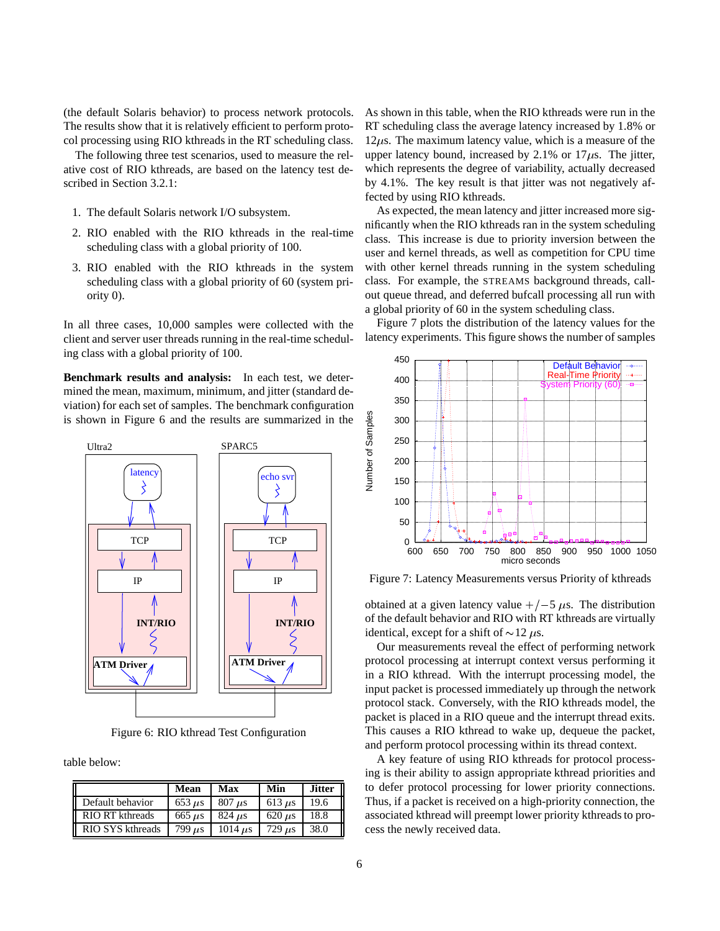(the default Solaris behavior) to process network protocols. The results show that it is relatively efficient to perform protocol processing using RIO kthreads in the RT scheduling class.

The following three test scenarios, used to measure the relative cost of RIO kthreads, are based on the latency test described in Section 3.2.1:

- 1. The default Solaris network I/O subsystem.
- 2. RIO enabled with the RIO kthreads in the real-time scheduling class with a global priority of 100.
- 3. RIO enabled with the RIO kthreads in the system scheduling class with a global priority of 60 (system priority 0).

In all three cases, 10,000 samples were collected with the client and server user threads running in the real-time scheduling class with a global priority of 100.

**Benchmark results and analysis:** In each test, we determined the mean, maximum, minimum, and jitter (standard deviation) for each set of samples. The benchmark configuration is shown in Figure 6 and the results are summarized in the



Figure 6: RIO kthread Test Configuration

table below:

|                             | Mean                      | Max                       | Min                       | <b>Jitter</b> |
|-----------------------------|---------------------------|---------------------------|---------------------------|---------------|
| Default behavior            | $653 \mu s$               | $807$ us                  | 613 $\mu$ s               | 19.6          |
| Ι<br><b>RIO RT</b> kthreads | $665 \text{ }\mu\text{s}$ | $824 \text{ }\mu\text{s}$ | $620 \text{ }\mu\text{s}$ | 18.8          |
| RIO SYS kthreads            | $799 \text{ }\mu\text{s}$ | $1014$ us                 | $729 \text{ }\mu\text{s}$ | 38.0          |

As shown in this table, when the RIO kthreads were run in the RT scheduling class the average latency increased by 1.8% or  $12\mu$ s. The maximum latency value, which is a measure of the upper latency bound, increased by 2.1% or  $17 \mu s$ . The jitter, which represents the degree of variability, actually decreased by 4.1%. The key result is that jitter was not negatively affected by using RIO kthreads.

As expected, the mean latency and jitter increased more significantly when the RIO kthreads ran in the system scheduling class. This increase is due to priority inversion between the user and kernel threads, as well as competition for CPU time with other kernel threads running in the system scheduling class. For example, the STREAMS background threads, callout queue thread, and deferred bufcall processing all run with a global priority of 60 in the system scheduling class.

Figure 7 plots the distribution of the latency values for the latency experiments. This figure shows the number of samples



Figure 7: Latency Measurements versus Priority of kthreads

obtained at a given latency value  $+/-5 \mu s$ . The distribution of the default behavior and RIO with RT kthreads are virtually identical, except for a shift of  $\sim$ 12  $\mu$ s.

Our measurements reveal the effect of performing network protocol processing at interrupt context versus performing it in a RIO kthread. With the interrupt processing model, the input packet is processed immediately up through the network protocol stack. Conversely, with the RIO kthreads model, the packet is placed in a RIO queue and the interrupt thread exits. This causes a RIO kthread to wake up, dequeue the packet, and perform protocol processing within its thread context.

A key feature of using RIO kthreads for protocol processing is their ability to assign appropriate kthread priorities and to defer protocol processing for lower priority connections. Thus, if a packet is received on a high-priority connection, the associated kthread will preempt lower priority kthreads to process the newly received data.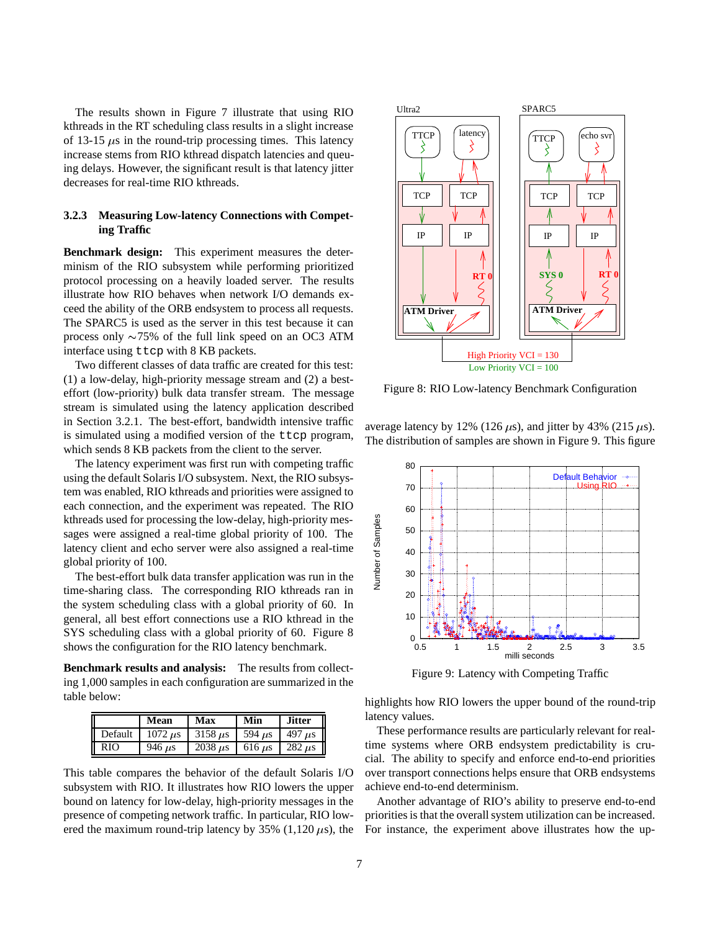The results shown in Figure 7 illustrate that using RIO kthreads in the RT scheduling class results in a slight increase of 13-15  $\mu$ s in the round-trip processing times. This latency increase stems from RIO kthread dispatch latencies and queuing delays. However, the significant result is that latency jitter decreases for real-time RIO kthreads.

### **3.2.3 Measuring Low-latency Connections with Competing Traffic**

**Benchmark design:** This experiment measures the determinism of the RIO subsystem while performing prioritized protocol processing on a heavily loaded server. The results illustrate how RIO behaves when network I/O demands exceed the ability of the ORB endsystem to process all requests. The SPARC5 is used as the server in this test because it can process only  $\sim$ 75% of the full link speed on an OC3 ATM interface using ttcp with 8 KB packets.

Two different classes of data traffic are created for this test: (1) a low-delay, high-priority message stream and (2) a besteffort (low-priority) bulk data transfer stream. The message stream is simulated using the latency application described in Section 3.2.1. The best-effort, bandwidth intensive traffic is simulated using a modified version of the ttcp program, which sends 8 KB packets from the client to the server.

The latency experiment was first run with competing traffic using the default Solaris I/O subsystem. Next, the RIO subsystem was enabled, RIO kthreads and priorities were assigned to each connection, and the experiment was repeated. The RIO kthreads used for processing the low-delay, high-priority messages were assigned a real-time global priority of 100. The latency client and echo server were also assigned a real-time global priority of 100.

The best-effort bulk data transfer application was run in the time-sharing class. The corresponding RIO kthreads ran in the system scheduling class with a global priority of 60. In general, all best effort connections use a RIO kthread in the SYS scheduling class with a global priority of 60. Figure 8 shows the configuration for the RIO latency benchmark.

**Benchmark results and analysis:** The results from collecting 1,000 samples in each configuration are summarized in the table below:

|         | Mean                       | Max                        | Min                       | <b>Jitter</b>             |
|---------|----------------------------|----------------------------|---------------------------|---------------------------|
| Default | $1072 \text{ }\mu\text{s}$ | $3158 \text{ }\mu\text{s}$ | $594 \text{ }\mu\text{s}$ | 497 $\mu$ s               |
| RIO     | 946 $\mu$ s                | $2038 \mu s$               | $616 \text{ }\mu\text{s}$ | $282 \text{ }\mu\text{s}$ |

This table compares the behavior of the default Solaris I/O subsystem with RIO. It illustrates how RIO lowers the upper bound on latency for low-delay, high-priority messages in the presence of competing network traffic. In particular, RIO lowered the maximum round-trip latency by  $35\%$  (1,120  $\mu$ s), the



Figure 8: RIO Low-latency Benchmark Configuration

average latency by 12% (126  $\mu$ s), and jitter by 43% (215  $\mu$ s). The distribution of samples are shown in Figure 9. This figure



Figure 9: Latency with Competing Traffic

highlights how RIO lowers the upper bound of the round-trip latency values.

These performance results are particularly relevant for realtime systems where ORB endsystem predictability is crucial. The ability to specify and enforce end-to-end priorities over transport connections helps ensure that ORB endsystems achieve end-to-end determinism.

Another advantage of RIO's ability to preserve end-to-end priorities is that the overall system utilization can be increased. For instance, the experiment above illustrates how the up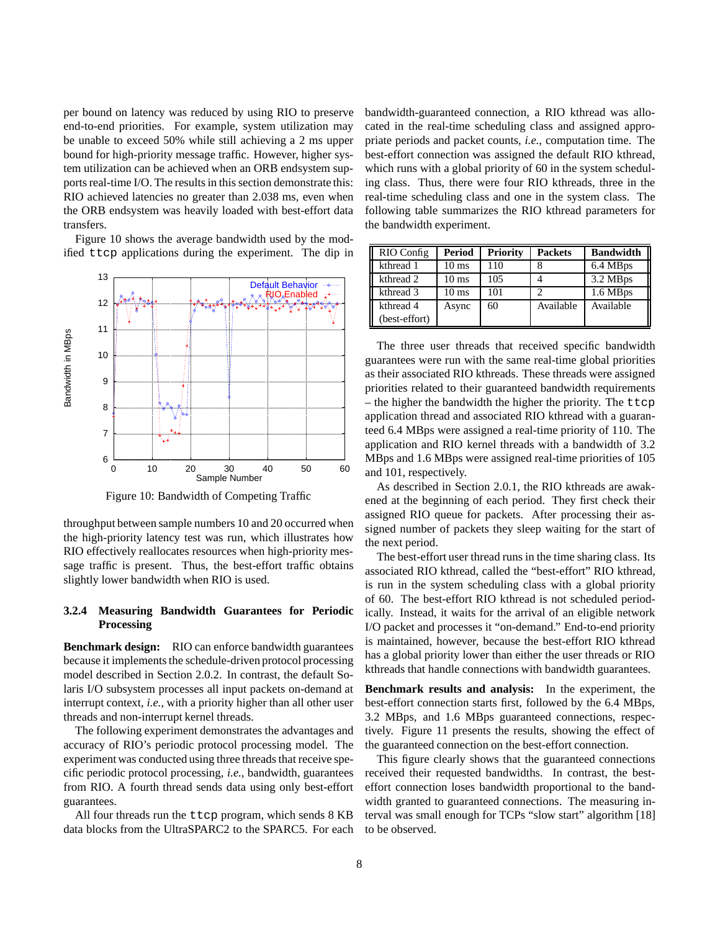per bound on latency was reduced by using RIO to preserve end-to-end priorities. For example, system utilization may be unable to exceed 50% while still achieving a 2 ms upper bound for high-priority message traffic. However, higher system utilization can be achieved when an ORB endsystem supports real-time I/O. The results in this section demonstrate this: RIO achieved latencies no greater than 2.038 ms, even when the ORB endsystem was heavily loaded with best-effort data transfers.

Figure 10 shows the average bandwidth used by the modified ttcp applications during the experiment. The dip in



Figure 10: Bandwidth of Competing Traffic

throughput between sample numbers 10 and 20 occurred when the high-priority latency test was run, which illustrates how RIO effectively reallocates resources when high-priority message traffic is present. Thus, the best-effort traffic obtains slightly lower bandwidth when RIO is used.

### **3.2.4 Measuring Bandwidth Guarantees for Periodic Processing**

**Benchmark design:** RIO can enforce bandwidth guarantees because it implements the schedule-driven protocol processing model described in Section 2.0.2. In contrast, the default Solaris I/O subsystem processes all input packets on-demand at interrupt context, *i.e.*, with a priority higher than all other user threads and non-interrupt kernel threads.

The following experiment demonstrates the advantages and accuracy of RIO's periodic protocol processing model. The experiment was conducted using three threads that receive specific periodic protocol processing, *i.e.*, bandwidth, guarantees from RIO. A fourth thread sends data using only best-effort guarantees.

All four threads run the ttcp program, which sends 8 KB data blocks from the UltraSPARC2 to the SPARC5. For each bandwidth-guaranteed connection, a RIO kthread was allocated in the real-time scheduling class and assigned appropriate periods and packet counts, *i.e.*, computation time. The best-effort connection was assigned the default RIO kthread, which runs with a global priority of 60 in the system scheduling class. Thus, there were four RIO kthreads, three in the real-time scheduling class and one in the system class. The following table summarizes the RIO kthread parameters for the bandwidth experiment.

| RIO Config    | <b>Period</b>   | <b>Priority</b> | <b>Packets</b> | <b>Bandwidth</b> |
|---------------|-----------------|-----------------|----------------|------------------|
| kthread 1     | 10 ms           | 110             |                | 6.4 MBps         |
| kthread 2     | $10 \text{ ms}$ | 105             |                | 3.2 MBps         |
| kthread 3     | $10 \text{ ms}$ | 101             |                | 1.6 MBps         |
| kthread 4     | Async           | 60              | Available      | Available        |
| (best-effort) |                 |                 |                |                  |

The three user threads that received specific bandwidth guarantees were run with the same real-time global priorities as their associated RIO kthreads. These threads were assigned priorities related to their guaranteed bandwidth requirements – the higher the bandwidth the higher the priority. The ttcp application thread and associated RIO kthread with a guaranteed 6.4 MBps were assigned a real-time priority of 110. The application and RIO kernel threads with a bandwidth of 3.2 MBps and 1.6 MBps were assigned real-time priorities of 105 and 101, respectively.

As described in Section 2.0.1, the RIO kthreads are awakened at the beginning of each period. They first check their assigned RIO queue for packets. After processing their assigned number of packets they sleep waiting for the start of the next period.

The best-effort user thread runs in the time sharing class. Its associated RIO kthread, called the "best-effort" RIO kthread, is run in the system scheduling class with a global priority of 60. The best-effort RIO kthread is not scheduled periodically. Instead, it waits for the arrival of an eligible network I/O packet and processes it "on-demand." End-to-end priority is maintained, however, because the best-effort RIO kthread has a global priority lower than either the user threads or RIO kthreads that handle connections with bandwidth guarantees.

**Benchmark results and analysis:** In the experiment, the best-effort connection starts first, followed by the 6.4 MBps, 3.2 MBps, and 1.6 MBps guaranteed connections, respectively. Figure 11 presents the results, showing the effect of the guaranteed connection on the best-effort connection.

This figure clearly shows that the guaranteed connections received their requested bandwidths. In contrast, the besteffort connection loses bandwidth proportional to the bandwidth granted to guaranteed connections. The measuring interval was small enough for TCPs "slow start" algorithm [18] to be observed.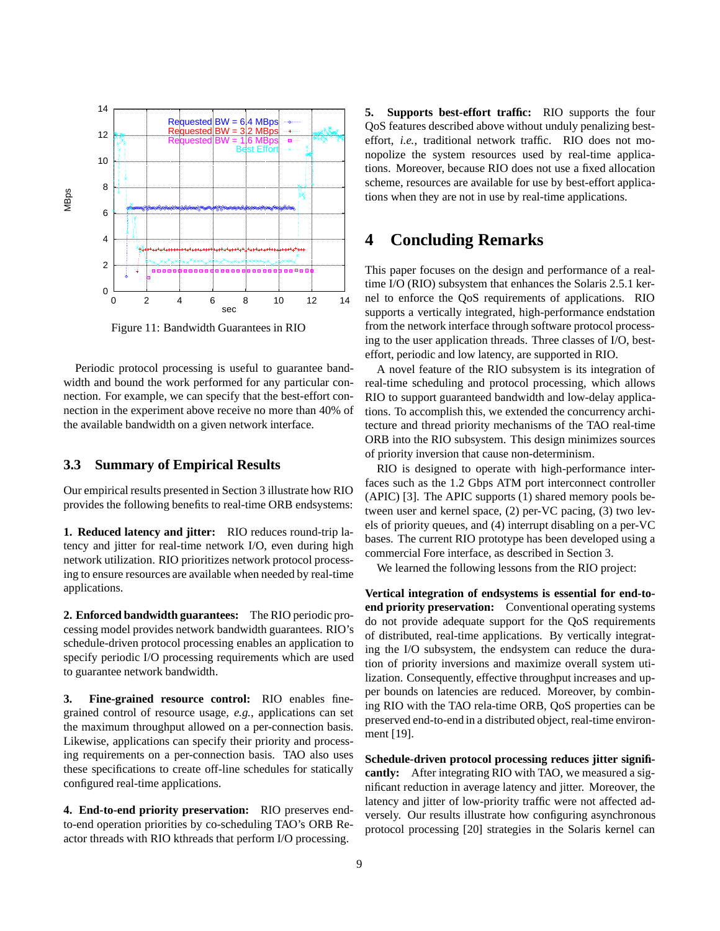

Figure 11: Bandwidth Guarantees in RIO

Periodic protocol processing is useful to guarantee bandwidth and bound the work performed for any particular connection. For example, we can specify that the best-effort connection in the experiment above receive no more than 40% of the available bandwidth on a given network interface.

### **3.3 Summary of Empirical Results**

Our empirical results presented in Section 3 illustrate how RIO provides the following benefits to real-time ORB endsystems:

**1. Reduced latency and jitter:** RIO reduces round-trip latency and jitter for real-time network I/O, even during high network utilization. RIO prioritizes network protocol processing to ensure resources are available when needed by real-time applications.

**2. Enforced bandwidth guarantees:** The RIO periodic processing model provides network bandwidth guarantees. RIO's schedule-driven protocol processing enables an application to specify periodic I/O processing requirements which are used to guarantee network bandwidth.

**3. Fine-grained resource control:** RIO enables finegrained control of resource usage, *e.g.*, applications can set the maximum throughput allowed on a per-connection basis. Likewise, applications can specify their priority and processing requirements on a per-connection basis. TAO also uses these specifications to create off-line schedules for statically configured real-time applications.

**4. End-to-end priority preservation:** RIO preserves endto-end operation priorities by co-scheduling TAO's ORB Reactor threads with RIO kthreads that perform I/O processing.

**5. Supports best-effort traffic:** RIO supports the four QoS features described above without unduly penalizing besteffort, *i.e.*, traditional network traffic. RIO does not monopolize the system resources used by real-time applications. Moreover, because RIO does not use a fixed allocation scheme, resources are available for use by best-effort applications when they are not in use by real-time applications.

# **4 Concluding Remarks**

This paper focuses on the design and performance of a realtime I/O (RIO) subsystem that enhances the Solaris 2.5.1 kernel to enforce the QoS requirements of applications. RIO supports a vertically integrated, high-performance endstation from the network interface through software protocol processing to the user application threads. Three classes of I/O, besteffort, periodic and low latency, are supported in RIO.

A novel feature of the RIO subsystem is its integration of real-time scheduling and protocol processing, which allows RIO to support guaranteed bandwidth and low-delay applications. To accomplish this, we extended the concurrency architecture and thread priority mechanisms of the TAO real-time ORB into the RIO subsystem. This design minimizes sources of priority inversion that cause non-determinism.

RIO is designed to operate with high-performance interfaces such as the 1.2 Gbps ATM port interconnect controller (APIC) [3]. The APIC supports (1) shared memory pools between user and kernel space, (2) per-VC pacing, (3) two levels of priority queues, and (4) interrupt disabling on a per-VC bases. The current RIO prototype has been developed using a commercial Fore interface, as described in Section 3.

We learned the following lessons from the RIO project:

**Vertical integration of endsystems is essential for end-toend priority preservation:** Conventional operating systems do not provide adequate support for the QoS requirements of distributed, real-time applications. By vertically integrating the I/O subsystem, the endsystem can reduce the duration of priority inversions and maximize overall system utilization. Consequently, effective throughput increases and upper bounds on latencies are reduced. Moreover, by combining RIO with the TAO rela-time ORB, QoS properties can be preserved end-to-end in a distributed object, real-time environment [19].

**Schedule-driven protocol processing reduces jitter significantly:** After integrating RIO with TAO, we measured a significant reduction in average latency and jitter. Moreover, the latency and jitter of low-priority traffic were not affected adversely. Our results illustrate how configuring asynchronous protocol processing [20] strategies in the Solaris kernel can